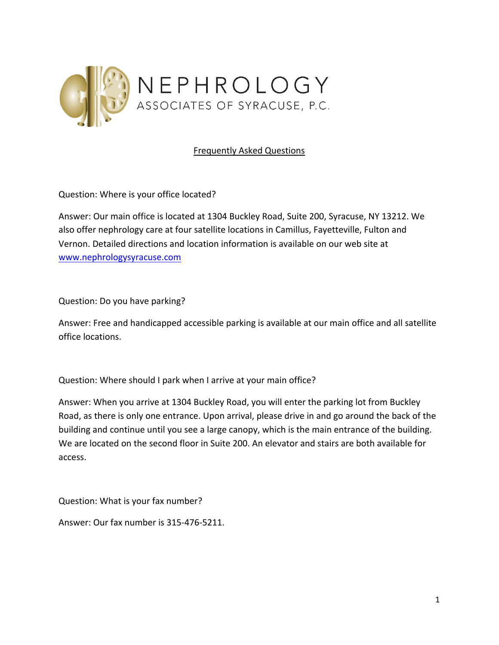

## Frequently Asked Questions

Question: Where is your office located?

Answer: Our main office is located at 1304 Buckley Road, Suite 200, Syracuse, NY 13212. We also offer nephrology care at four satellite locations in Camillus, Fayetteville, Fulton and Vernon. Detailed directions and location information is available on our web site at www.nephrologysyracuse.com

Question: Do you have parking?

Answer: Free and handicapped accessible parking is available at our main office and all satellite office locations.

Question: Where should I park when I arrive at your main office?

Answer: When you arrive at 1304 Buckley Road, you will enter the parking lot from Buckley Road, as there is only one entrance. Upon arrival, please drive in and go around the back of the building and continue until you see a large canopy, which is the main entrance of the building. We are located on the second floor in Suite 200. An elevator and stairs are both available for access.

Question: What is your fax number?

Answer: Our fax number is 315-476-5211.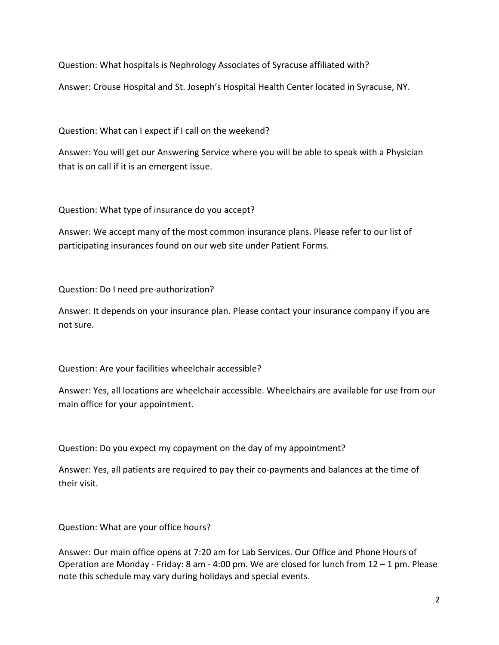Question: What hospitals is Nephrology Associates of Syracuse affiliated with?

Answer: Crouse Hospital and St. Joseph's Hospital Health Center located in Syracuse, NY.

Question: What can I expect if I call on the weekend?

Answer: You will get our Answering Service where you will be able to speak with a Physician that is on call if it is an emergent issue.

Question: What type of insurance do you accept?

Answer: We accept many of the most common insurance plans. Please refer to our list of participating insurances found on our web site under Patient Forms.

Question: Do I need pre-authorization?

Answer: It depends on your insurance plan. Please contact your insurance company if you are not sure.

Question: Are your facilities wheelchair accessible?

Answer: Yes, all locations are wheelchair accessible. Wheelchairs are available for use from our main office for your appointment.

Question: Do you expect my copayment on the day of my appointment?

Answer: Yes, all patients are required to pay their co-payments and balances at the time of their visit.

Question: What are your office hours?

Answer: Our main office opens at 7:20 am for Lab Services. Our Office and Phone Hours of Operation are Monday - Friday: 8 am - 4:00 pm. We are closed for lunch from 12 – 1 pm. Please note this schedule may vary during holidays and special events.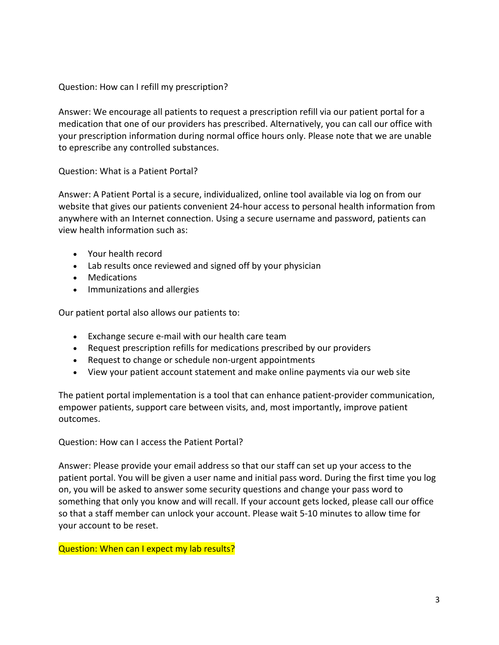## Question: How can I refill my prescription?

Answer: We encourage all patients to request a prescription refill via our patient portal for a medication that one of our providers has prescribed. Alternatively, you can call our office with your prescription information during normal office hours only. Please note that we are unable to eprescribe any controlled substances.

## Question: What is a Patient Portal?

Answer: A Patient Portal is a secure, individualized, online tool available via log on from our website that gives our patients convenient 24-hour access to personal health information from anywhere with an Internet connection. Using a secure username and password, patients can view health information such as:

- Your health record
- Lab results once reviewed and signed off by your physician
- Medications
- Immunizations and allergies

Our patient portal also allows our patients to:

- Exchange secure e-mail with our health care team
- Request prescription refills for medications prescribed by our providers
- Request to change or schedule non-urgent appointments
- View your patient account statement and make online payments via our web site

The patient portal implementation is a tool that can enhance patient-provider communication, empower patients, support care between visits, and, most importantly, improve patient outcomes.

Question: How can I access the Patient Portal?

Answer: Please provide your email address so that our staff can set up your access to the patient portal. You will be given a user name and initial pass word. During the first time you log on, you will be asked to answer some security questions and change your pass word to something that only you know and will recall. If your account gets locked, please call our office so that a staff member can unlock your account. Please wait 5-10 minutes to allow time for your account to be reset.

## Question: When can I expect my lab results?